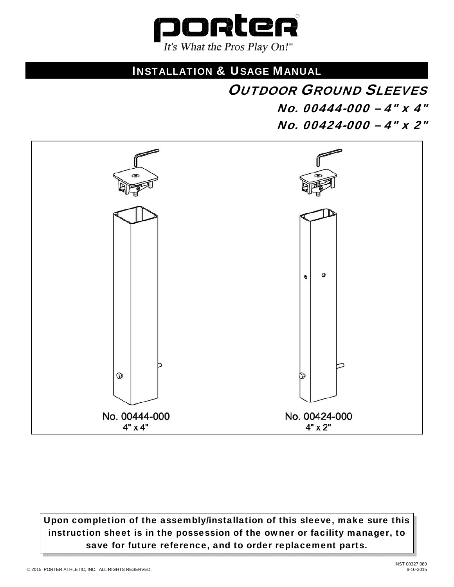

# INSTALLATION & USAGE MANUAL

**OUTDOOR GROUND SLEEVES**  No. 00444-000 – 4" x 4" No. 00424-000 – 4" x 2"



Upon completion of the assembly/installation of this sleeve, make sure this instruction sheet is in the possession of the owner or facility manager, to save for future reference, and to order replacement parts.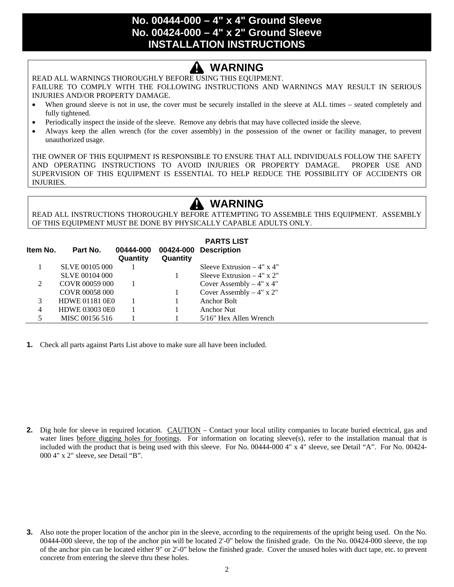#### **No. 00444-000 – 4" x 4" Ground Sleeve No. 00424-000 – 4" x 2" Ground Sleeve INSTALLATION INSTRUCTIONS**

# **WARNING**

READ ALL WARNINGS THOROUGHLY BEFORE USING THIS EQUIPMENT.

FAILURE TO COMPLY WITH THE FOLLOWING INSTRUCTIONS AND WARNINGS MAY RESULT IN SERIOUS INJURIES AND/OR PROPERTY DAMAGE.

- When ground sleeve is not in use, the cover must be securely installed in the sleeve at ALL times seated completely and fully tightened.
- Periodically inspect the inside of the sleeve. Remove any debris that may have collected inside the sleeve.
- Always keep the allen wrench (for the cover assembly) in the possession of the owner or facility manager, to prevent unauthorized usage.

THE OWNER OF THIS EQUIPMENT IS RESPONSIBLE TO ENSURE THAT ALL INDIVIDUALS FOLLOW THE SAFETY AND OPERATING INSTRUCTIONS TO AVOID INJURIES OR PROPERTY DAMAGE. PROPER USE AND SUPERVISION OF THIS EQUIPMENT IS ESSENTIAL TO HELP REDUCE THE POSSIBILITY OF ACCIDENTS OR INJURIES.

# **WARNING**

READ ALL INSTRUCTIONS THOROUGHLY BEFORE ATTEMPTING TO ASSEMBLE THIS EQUIPMENT. ASSEMBLY OF THIS EQUIPMENT MUST BE DONE BY PHYSICALLY CAPABLE ADULTS ONLY.

|          |                       |                       |          | <b>PARTS LIST</b>            |
|----------|-----------------------|-----------------------|----------|------------------------------|
| Item No. | Part No.              | 00444-000<br>Quantity | Quantity | 00424-000 Description        |
|          | <b>SLVE 00105 000</b> |                       |          | Sleeve Extrusion $-4$ " x 4" |
|          | <b>SLVE 00104 000</b> |                       |          | Sleeve Extrusion $-4$ " x 2" |
| 2        | COVR 00059 000        |                       |          | Cover Assembly $-4$ " x 4"   |
|          | COVR 00058 000        |                       |          | Cover Assembly $-4"$ x 2"    |
| 3        | <b>HDWE 01181 0E0</b> |                       |          | Anchor Bolt                  |
| 4        | <b>HDWE 03003 0E0</b> |                       |          | <b>Anchor Nut</b>            |
| 5        | MISC 00156 516        |                       |          | 5/16" Hex Allen Wrench       |

**1.** Check all parts against Parts List above to make sure all have been included.

**2.** Dig hole for sleeve in required location. CAUTION – Contact your local utility companies to locate buried electrical, gas and water lines before digging holes for footings. For information on locating sleeve(s), refer to the installation manual that is included with the product that is being used with this sleeve. For No. 00444-000 4" x 4" sleeve, see Detail "A". For No. 00424- 000 4" x 2" sleeve, see Detail "B".

**3.** Also note the proper location of the anchor pin in the sleeve, according to the requirements of the upright being used. On the No. 00444-000 sleeve, the top of the anchor pin will be located 2'-0" below the finished grade. On the No. 00424-000 sleeve, the top of the anchor pin can be located either 9" or 2'-0" below the finished grade. Cover the unused holes with duct tape, etc. to prevent concrete from entering the sleeve thru these holes.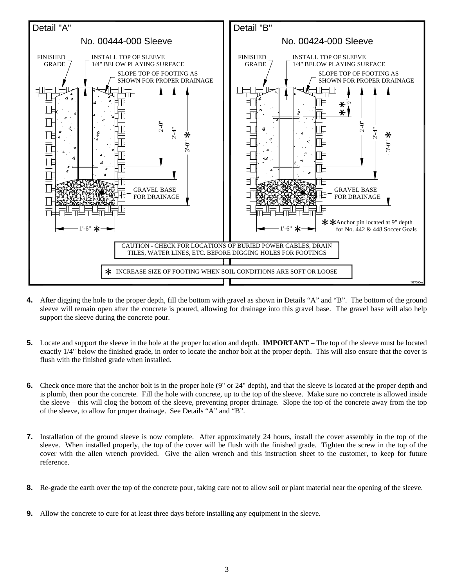

- **4.** After digging the hole to the proper depth, fill the bottom with gravel as shown in Details "A" and "B". The bottom of the ground sleeve will remain open after the concrete is poured, allowing for drainage into this gravel base. The gravel base will also help support the sleeve during the concrete pour.
- **5.** Locate and support the sleeve in the hole at the proper location and depth. **IMPORTANT** The top of the sleeve must be located exactly 1/4" below the finished grade, in order to locate the anchor bolt at the proper depth. This will also ensure that the cover is flush with the finished grade when installed.
- **6.** Check once more that the anchor bolt is in the proper hole (9" or 24" depth), and that the sleeve is located at the proper depth and is plumb, then pour the concrete. Fill the hole with concrete, up to the top of the sleeve. Make sure no concrete is allowed inside the sleeve – this will clog the bottom of the sleeve, preventing proper drainage. Slope the top of the concrete away from the top of the sleeve, to allow for proper drainage. See Details "A" and "B".
- **7.** Installation of the ground sleeve is now complete. After approximately 24 hours, install the cover assembly in the top of the sleeve. When installed properly, the top of the cover will be flush with the finished grade. Tighten the screw in the top of the cover with the allen wrench provided. Give the allen wrench and this instruction sheet to the customer, to keep for future reference.
- **8.** Re-grade the earth over the top of the concrete pour, taking care not to allow soil or plant material near the opening of the sleeve.
- **9.** Allow the concrete to cure for at least three days before installing any equipment in the sleeve.